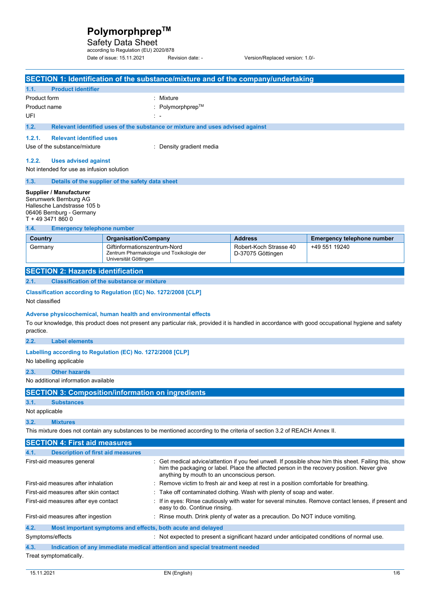Safety Data Sheet according to Regulation (EU) 2020/878

Date of issue: 15.11.2021 Revision date: - Version/Replaced version: 1.0/-

|                             |                                                                                                                                  |                                                       |                                                                               | SECTION 1: Identification of the substance/mixture and of the company/undertaking                                        |                                                                                                                                                                                                      |
|-----------------------------|----------------------------------------------------------------------------------------------------------------------------------|-------------------------------------------------------|-------------------------------------------------------------------------------|--------------------------------------------------------------------------------------------------------------------------|------------------------------------------------------------------------------------------------------------------------------------------------------------------------------------------------------|
| 1.1.                        | <b>Product identifier</b>                                                                                                        |                                                       |                                                                               |                                                                                                                          |                                                                                                                                                                                                      |
| Product form<br>: Mixture   |                                                                                                                                  |                                                       |                                                                               |                                                                                                                          |                                                                                                                                                                                                      |
| Product name                |                                                                                                                                  |                                                       | Polymorphprep™                                                                |                                                                                                                          |                                                                                                                                                                                                      |
| UFI                         |                                                                                                                                  |                                                       |                                                                               |                                                                                                                          |                                                                                                                                                                                                      |
| 1.2.                        |                                                                                                                                  |                                                       | Relevant identified uses of the substance or mixture and uses advised against |                                                                                                                          |                                                                                                                                                                                                      |
| 1.2.1.                      | <b>Relevant identified uses</b>                                                                                                  |                                                       |                                                                               |                                                                                                                          |                                                                                                                                                                                                      |
|                             | Use of the substance/mixture<br>: Density gradient media                                                                         |                                                       |                                                                               |                                                                                                                          |                                                                                                                                                                                                      |
| 1.2.2.                      | <b>Uses advised against</b>                                                                                                      |                                                       |                                                                               |                                                                                                                          |                                                                                                                                                                                                      |
|                             | Not intended for use as infusion solution                                                                                        |                                                       |                                                                               |                                                                                                                          |                                                                                                                                                                                                      |
| 1.3.                        |                                                                                                                                  | Details of the supplier of the safety data sheet      |                                                                               |                                                                                                                          |                                                                                                                                                                                                      |
|                             | Supplier / Manufacturer<br>Serumwerk Bernburg AG<br>Hallesche Landstrasse 105 b<br>06406 Bernburg - Germany<br>T + 49 3471 860 0 |                                                       |                                                                               |                                                                                                                          |                                                                                                                                                                                                      |
| 1.4.                        | <b>Emergency telephone number</b>                                                                                                |                                                       |                                                                               |                                                                                                                          |                                                                                                                                                                                                      |
| Country                     |                                                                                                                                  | <b>Organisation/Company</b>                           |                                                                               | <b>Address</b>                                                                                                           | <b>Emergency telephone number</b>                                                                                                                                                                    |
| Germany                     |                                                                                                                                  | Giftinformationszentrum-Nord<br>Universität Göttingen | Zentrum Pharmakologie und Toxikologie der                                     | Robert-Koch Strasse 40<br>D-37075 Göttingen                                                                              | +49 551 19240                                                                                                                                                                                        |
|                             | <b>SECTION 2: Hazards identification</b>                                                                                         |                                                       |                                                                               |                                                                                                                          |                                                                                                                                                                                                      |
| 2.1.                        |                                                                                                                                  | <b>Classification of the substance or mixture</b>     |                                                                               |                                                                                                                          |                                                                                                                                                                                                      |
| Not classified<br>practice. | Classification according to Regulation (EC) No. 1272/2008 [CLP]                                                                  |                                                       | Adverse physicochemical, human health and environmental effects               |                                                                                                                          | To our knowledge, this product does not present any particular risk, provided it is handled in accordance with good occupational hygiene and safety                                                  |
| 2.2.                        | <b>Label elements</b>                                                                                                            |                                                       |                                                                               |                                                                                                                          |                                                                                                                                                                                                      |
|                             | Labelling according to Regulation (EC) No. 1272/2008 [CLP]<br>No labelling applicable                                            |                                                       |                                                                               |                                                                                                                          |                                                                                                                                                                                                      |
| 2.3.                        | <b>Other hazards</b>                                                                                                             |                                                       |                                                                               |                                                                                                                          |                                                                                                                                                                                                      |
|                             | No additional information available                                                                                              |                                                       |                                                                               |                                                                                                                          |                                                                                                                                                                                                      |
|                             | <b>SECTION 3: Composition/information on ingredients</b>                                                                         |                                                       |                                                                               |                                                                                                                          |                                                                                                                                                                                                      |
| 3.1.                        | <b>Substances</b>                                                                                                                |                                                       |                                                                               |                                                                                                                          |                                                                                                                                                                                                      |
| Not applicable              |                                                                                                                                  |                                                       |                                                                               |                                                                                                                          |                                                                                                                                                                                                      |
| 3.2.                        | <b>Mixtures</b>                                                                                                                  |                                                       |                                                                               |                                                                                                                          |                                                                                                                                                                                                      |
|                             |                                                                                                                                  |                                                       |                                                                               | This mixture does not contain any substances to be mentioned according to the criteria of section 3.2 of REACH Annex II. |                                                                                                                                                                                                      |
|                             | <b>SECTION 4: First aid measures</b>                                                                                             |                                                       |                                                                               |                                                                                                                          |                                                                                                                                                                                                      |
| 4.1.                        | <b>Description of first aid measures</b>                                                                                         |                                                       |                                                                               |                                                                                                                          |                                                                                                                                                                                                      |
|                             | First-aid measures general                                                                                                       |                                                       | anything by mouth to an unconscious person.                                   |                                                                                                                          | : Get medical advice/attention if you feel unwell. If possible show him this sheet. Failing this, show<br>him the packaging or label. Place the affected person in the recovery position. Never give |
|                             | First-aid measures after inhalation                                                                                              |                                                       |                                                                               | : Remove victim to fresh air and keep at rest in a position comfortable for breathing.                                   |                                                                                                                                                                                                      |
|                             | First-aid measures after skin contact<br>: Take off contaminated clothing. Wash with plenty of soap and water.                   |                                                       |                                                                               |                                                                                                                          |                                                                                                                                                                                                      |
|                             | First-aid measures after eye contact                                                                                             |                                                       | easy to do. Continue rinsing.                                                 |                                                                                                                          | . If in eyes: Rinse cautiously with water for several minutes. Remove contact lenses, if present and                                                                                                 |
|                             | First-aid measures after ingestion                                                                                               |                                                       |                                                                               | : Rinse mouth. Drink plenty of water as a precaution. Do NOT induce vomiting.                                            |                                                                                                                                                                                                      |
| 4.2.                        |                                                                                                                                  |                                                       | Most important symptoms and effects, both acute and delayed                   |                                                                                                                          |                                                                                                                                                                                                      |
| Symptoms/effects            |                                                                                                                                  |                                                       |                                                                               |                                                                                                                          | : Not expected to present a significant hazard under anticipated conditions of normal use.                                                                                                           |
| 4.3.                        |                                                                                                                                  |                                                       | Indication of any immediate medical attention and special treatment needed    |                                                                                                                          |                                                                                                                                                                                                      |

Treat symptomatically.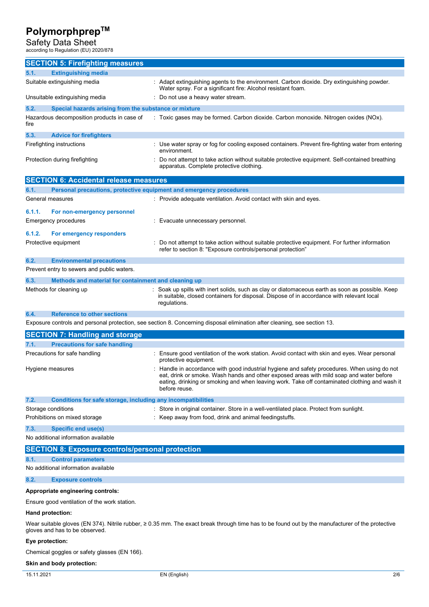Safety Data Sheet according to Regulation (EU) 2020/878

| according to Regulation (EU) 2020/676                                                                                                                                                   |                                                                                                                                                                                                                                                                                                           |  |
|-----------------------------------------------------------------------------------------------------------------------------------------------------------------------------------------|-----------------------------------------------------------------------------------------------------------------------------------------------------------------------------------------------------------------------------------------------------------------------------------------------------------|--|
| <b>SECTION 5: Firefighting measures</b>                                                                                                                                                 |                                                                                                                                                                                                                                                                                                           |  |
| 5.1.<br><b>Extinguishing media</b>                                                                                                                                                      |                                                                                                                                                                                                                                                                                                           |  |
| Suitable extinguishing media                                                                                                                                                            | : Adapt extinguishing agents to the environment. Carbon dioxide. Dry extinguishing powder.<br>Water spray. For a significant fire: Alcohol resistant foam.                                                                                                                                                |  |
| Unsuitable extinguishing media                                                                                                                                                          | : Do not use a heavy water stream.                                                                                                                                                                                                                                                                        |  |
| 5.2.<br>Special hazards arising from the substance or mixture                                                                                                                           |                                                                                                                                                                                                                                                                                                           |  |
| Hazardous decomposition products in case of<br>fire                                                                                                                                     | : Toxic gases may be formed. Carbon dioxide. Carbon monoxide. Nitrogen oxides (NOx).                                                                                                                                                                                                                      |  |
| 5.3.<br><b>Advice for firefighters</b>                                                                                                                                                  |                                                                                                                                                                                                                                                                                                           |  |
| Firefighting instructions                                                                                                                                                               | : Use water spray or fog for cooling exposed containers. Prevent fire-fighting water from entering<br>environment.                                                                                                                                                                                        |  |
| Protection during firefighting                                                                                                                                                          | Do not attempt to take action without suitable protective equipment. Self-contained breathing<br>apparatus. Complete protective clothing.                                                                                                                                                                 |  |
| <b>SECTION 6: Accidental release measures</b>                                                                                                                                           |                                                                                                                                                                                                                                                                                                           |  |
| 6.1.<br>Personal precautions, protective equipment and emergency procedures                                                                                                             |                                                                                                                                                                                                                                                                                                           |  |
| General measures                                                                                                                                                                        | : Provide adequate ventilation. Avoid contact with skin and eyes.                                                                                                                                                                                                                                         |  |
| 6.1.1.<br>For non-emergency personnel                                                                                                                                                   |                                                                                                                                                                                                                                                                                                           |  |
| <b>Emergency procedures</b>                                                                                                                                                             | : Evacuate unnecessary personnel.                                                                                                                                                                                                                                                                         |  |
| 6.1.2.<br>For emergency responders                                                                                                                                                      |                                                                                                                                                                                                                                                                                                           |  |
| Protective equipment                                                                                                                                                                    | : Do not attempt to take action without suitable protective equipment. For further information<br>refer to section 8: "Exposure controls/personal protection"                                                                                                                                             |  |
| 6.2.<br><b>Environmental precautions</b>                                                                                                                                                |                                                                                                                                                                                                                                                                                                           |  |
| Prevent entry to sewers and public waters.                                                                                                                                              |                                                                                                                                                                                                                                                                                                           |  |
| 6.3.<br>Methods and material for containment and cleaning up                                                                                                                            |                                                                                                                                                                                                                                                                                                           |  |
| Methods for cleaning up                                                                                                                                                                 | : Soak up spills with inert solids, such as clay or diatomaceous earth as soon as possible. Keep<br>in suitable, closed containers for disposal. Dispose of in accordance with relevant local<br>regulations.                                                                                             |  |
| <b>Reference to other sections</b><br>6.4.                                                                                                                                              |                                                                                                                                                                                                                                                                                                           |  |
|                                                                                                                                                                                         | Exposure controls and personal protection, see section 8. Concerning disposal elimination after cleaning, see section 13.                                                                                                                                                                                 |  |
| <b>SECTION 7: Handling and storage</b>                                                                                                                                                  |                                                                                                                                                                                                                                                                                                           |  |
| 7.1.<br><b>Precautions for safe handling</b>                                                                                                                                            |                                                                                                                                                                                                                                                                                                           |  |
| Precautions for safe handling                                                                                                                                                           | : Ensure good ventilation of the work station. Avoid contact with skin and eyes. Wear personal<br>protective equipment.                                                                                                                                                                                   |  |
| Hygiene measures                                                                                                                                                                        | : Handle in accordance with good industrial hygiene and safety procedures. When using do not<br>eat, drink or smoke. Wash hands and other exposed areas with mild soap and water before<br>eating, drinking or smoking and when leaving work. Take off contaminated clothing and wash it<br>before reuse. |  |
| 7.2.<br>Conditions for safe storage, including any incompatibilities                                                                                                                    |                                                                                                                                                                                                                                                                                                           |  |
| Storage conditions                                                                                                                                                                      | : Store in original container. Store in a well-ventilated place. Protect from sunlight.                                                                                                                                                                                                                   |  |
| Prohibitions on mixed storage                                                                                                                                                           | : Keep away from food, drink and animal feedingstuffs.                                                                                                                                                                                                                                                    |  |
| <b>Specific end use(s)</b><br>7.3.                                                                                                                                                      |                                                                                                                                                                                                                                                                                                           |  |
| No additional information available                                                                                                                                                     |                                                                                                                                                                                                                                                                                                           |  |
| <b>SECTION 8: Exposure controls/personal protection</b>                                                                                                                                 |                                                                                                                                                                                                                                                                                                           |  |
| <b>Control parameters</b><br>8.1.                                                                                                                                                       |                                                                                                                                                                                                                                                                                                           |  |
| No additional information available                                                                                                                                                     |                                                                                                                                                                                                                                                                                                           |  |
| 8.2.<br><b>Exposure controls</b>                                                                                                                                                        |                                                                                                                                                                                                                                                                                                           |  |
| Appropriate engineering controls:                                                                                                                                                       |                                                                                                                                                                                                                                                                                                           |  |
| Ensure good ventilation of the work station.                                                                                                                                            |                                                                                                                                                                                                                                                                                                           |  |
| Hand protection:                                                                                                                                                                        |                                                                                                                                                                                                                                                                                                           |  |
| Wear suitable gloves (EN 374). Nitrile rubber, $\geq 0.35$ mm. The exact break through time has to be found out by the manufacturer of the protective<br>gloves and has to be observed. |                                                                                                                                                                                                                                                                                                           |  |
| Eye protection:                                                                                                                                                                         |                                                                                                                                                                                                                                                                                                           |  |
| $(TN + ACC)$                                                                                                                                                                            |                                                                                                                                                                                                                                                                                                           |  |

Chemical goggles or safety glasses (EN 166).

### **Skin and body protection:**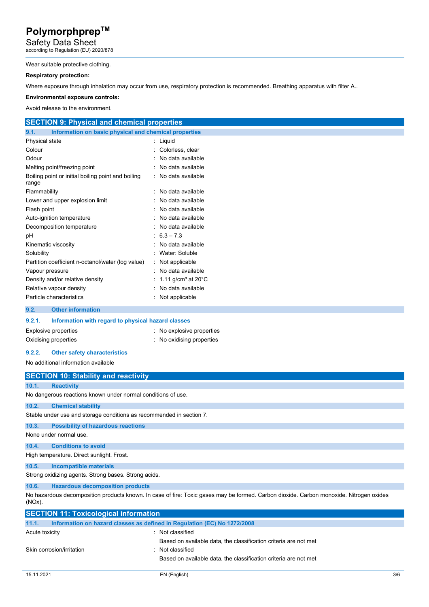Safety Data Sheet according to Regulation (EU) 2020/878

### Wear suitable protective clothing.

### **Respiratory protection:**

Where exposure through inhalation may occur from use, respiratory protection is recommended. Breathing apparatus with filter A..

#### **Environmental exposure controls:**

Avoid release to the environment.

| <b>SECTION 9: Physical and chemical properties</b>            |                                             |
|---------------------------------------------------------------|---------------------------------------------|
| 9.1.<br>Information on basic physical and chemical properties |                                             |
| Physical state                                                | $:$ Liquid                                  |
| Colour                                                        | Colorless, clear                            |
| Odour                                                         | : No data available                         |
| Melting point/freezing point                                  | : No data available                         |
| Boiling point or initial boiling point and boiling<br>range   | : No data available                         |
| Flammability                                                  | : No data available                         |
| Lower and upper explosion limit                               | : No data available                         |
| Flash point                                                   | : No data available                         |
| Auto-ignition temperature                                     | : No data available                         |
| Decomposition temperature                                     | : No data available                         |
| рH                                                            | $\pm 6.3 - 7.3$                             |
| Kinematic viscosity                                           | : No data available                         |
| Solubility                                                    | : Water: Soluble                            |
| Partition coefficient n-octanol/water (log value)             | : Not applicable                            |
| Vapour pressure                                               | : No data available                         |
| Density and/or relative density                               | : 1.11 g/cm <sup>3</sup> at 20 $^{\circ}$ C |
| Relative vapour density                                       | : No data available                         |
| Particle characteristics<br>$\sim$ $\sim$                     | Not applicable                              |
| Other control and a state of                                  |                                             |

### **9.2. Other information**

| 9.2.1. | Information with regard to physical hazard classes |                         |
|--------|----------------------------------------------------|-------------------------|
|        | Explosive properties                               | No explosive properties |
|        | Oxidising properties                               | No oxidising properties |

#### **9.2.2. Other safety characteristics**

No additional information available

|                        | <b>SECTION 10: Stability and reactivity</b>                                                                                             |  |  |
|------------------------|-----------------------------------------------------------------------------------------------------------------------------------------|--|--|
| 10.1.                  | <b>Reactivity</b>                                                                                                                       |  |  |
|                        | No dangerous reactions known under normal conditions of use.                                                                            |  |  |
| 10.2.                  | <b>Chemical stability</b>                                                                                                               |  |  |
|                        | Stable under use and storage conditions as recommended in section 7.                                                                    |  |  |
| 10.3.                  | <b>Possibility of hazardous reactions</b>                                                                                               |  |  |
| None under normal use. |                                                                                                                                         |  |  |
| 10.4.                  | <b>Conditions to avoid</b>                                                                                                              |  |  |
|                        | High temperature. Direct sunlight. Frost.                                                                                               |  |  |
| 10.5.                  | Incompatible materials                                                                                                                  |  |  |
|                        | Strong oxidizing agents. Strong bases. Strong acids.                                                                                    |  |  |
| 10.6.                  | <b>Hazardous decomposition products</b>                                                                                                 |  |  |
| $(NOx)$ .              | No hazardous decomposition products known. In case of fire: Toxic gases may be formed. Carbon dioxide. Carbon monoxide. Nitrogen oxides |  |  |

| <b>SECTION 11: Toxicological information</b>                                      |                                                                                      |  |  |
|-----------------------------------------------------------------------------------|--------------------------------------------------------------------------------------|--|--|
| Information on hazard classes as defined in Regulation (EC) No 1272/2008<br>11.1. |                                                                                      |  |  |
| Acute toxicity                                                                    | : Not classified                                                                     |  |  |
| Skin corrosion/irritation                                                         | Based on available data, the classification criteria are not met<br>: Not classified |  |  |
|                                                                                   | Based on available data, the classification criteria are not met                     |  |  |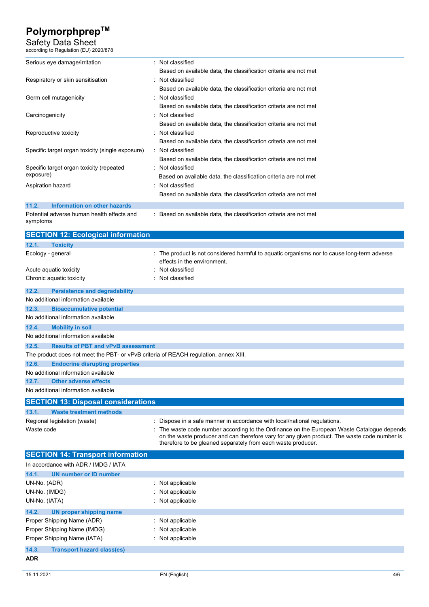Safety Data Sheet

| according to Regulation (EU) 2020/878                                                |                                                                                              |  |  |
|--------------------------------------------------------------------------------------|----------------------------------------------------------------------------------------------|--|--|
| Serious eye damage/irritation                                                        | : Not classified                                                                             |  |  |
|                                                                                      | Based on available data, the classification criteria are not met                             |  |  |
| Respiratory or skin sensitisation                                                    | Not classified                                                                               |  |  |
|                                                                                      | Based on available data, the classification criteria are not met                             |  |  |
| Germ cell mutagenicity                                                               | Not classified                                                                               |  |  |
|                                                                                      | Based on available data, the classification criteria are not met                             |  |  |
| Carcinogenicity                                                                      | Not classified                                                                               |  |  |
|                                                                                      | Based on available data, the classification criteria are not met                             |  |  |
| Reproductive toxicity                                                                | Not classified                                                                               |  |  |
|                                                                                      | Based on available data, the classification criteria are not met                             |  |  |
| Specific target organ toxicity (single exposure)                                     | : Not classified                                                                             |  |  |
|                                                                                      | Based on available data, the classification criteria are not met                             |  |  |
| Specific target organ toxicity (repeated                                             | : Not classified                                                                             |  |  |
| exposure)                                                                            | Based on available data, the classification criteria are not met                             |  |  |
| Aspiration hazard                                                                    | Not classified                                                                               |  |  |
|                                                                                      | Based on available data, the classification criteria are not met                             |  |  |
| 11.2.<br><b>Information on other hazards</b>                                         |                                                                                              |  |  |
| Potential adverse human health effects and                                           | : Based on available data, the classification criteria are not met                           |  |  |
| symptoms                                                                             |                                                                                              |  |  |
| <b>SECTION 12: Ecological information</b>                                            |                                                                                              |  |  |
| 12.1.<br><b>Toxicity</b>                                                             |                                                                                              |  |  |
| Ecology - general                                                                    | : The product is not considered harmful to aquatic organisms nor to cause long-term adverse  |  |  |
|                                                                                      | effects in the environment.                                                                  |  |  |
| Acute aquatic toxicity                                                               | Not classified                                                                               |  |  |
| Chronic aquatic toxicity                                                             | Not classified                                                                               |  |  |
| 12.2.<br><b>Persistence and degradability</b>                                        |                                                                                              |  |  |
| No additional information available                                                  |                                                                                              |  |  |
| 12.3.<br><b>Bioaccumulative potential</b>                                            |                                                                                              |  |  |
| No additional information available                                                  |                                                                                              |  |  |
| 12.4.<br><b>Mobility in soil</b>                                                     |                                                                                              |  |  |
| No additional information available                                                  |                                                                                              |  |  |
| 12.5.<br><b>Results of PBT and vPvB assessment</b>                                   |                                                                                              |  |  |
| The product does not meet the PBT- or vPvB criteria of REACH regulation, annex XIII. |                                                                                              |  |  |
| 12.6.<br><b>Endocrine disrupting properties</b>                                      |                                                                                              |  |  |
| No additional information available                                                  |                                                                                              |  |  |
| 12.7.<br><b>Other adverse effects</b>                                                |                                                                                              |  |  |
| No additional information available                                                  |                                                                                              |  |  |
| <b>SECTION 13: Disposal considerations</b>                                           |                                                                                              |  |  |
| 13.1.<br><b>Waste treatment methods</b>                                              |                                                                                              |  |  |
| Regional legislation (waste)                                                         | Dispose in a safe manner in accordance with local/national regulations.                      |  |  |
| Waste code                                                                           | The waste code number according to the Ordinance on the European Waste Catalogue depends     |  |  |
|                                                                                      | on the waste producer and can therefore vary for any given product. The waste code number is |  |  |
|                                                                                      | therefore to be gleaned separately from each waste producer.                                 |  |  |
| <b>SECTION 14: Transport information</b>                                             |                                                                                              |  |  |
| In accordance with ADR / IMDG / IATA                                                 |                                                                                              |  |  |
| 14.1.<br><b>UN number or ID number</b>                                               |                                                                                              |  |  |
| UN-No. (ADR)<br>: Not applicable                                                     |                                                                                              |  |  |
| UN-No. (IMDG)                                                                        | : Not applicable                                                                             |  |  |
| UN-No. (IATA)                                                                        | : Not applicable                                                                             |  |  |

**14.2. UN proper shipping name**  Proper Shipping Name (ADR) : Not applicable Proper Shipping Name (IMDG) : Not applicable Proper Shipping Name (IATA) : Not applicable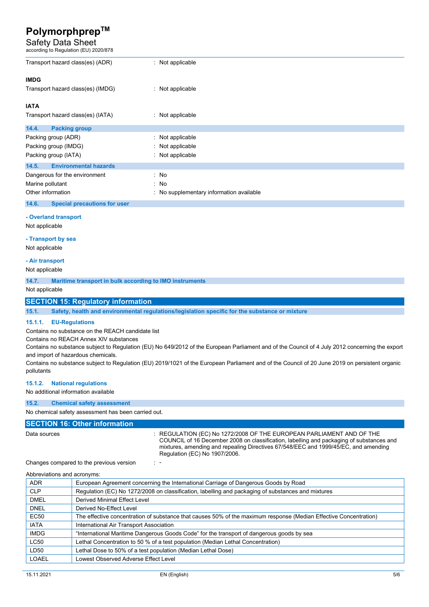### Safety Data Sheet

| according to Regulation (EU) 2020/878                            |                                                                                                |  |
|------------------------------------------------------------------|------------------------------------------------------------------------------------------------|--|
| Transport hazard class(es) (ADR)                                 | : Not applicable                                                                               |  |
| <b>IMDG</b>                                                      |                                                                                                |  |
| Transport hazard class(es) (IMDG)                                | : Not applicable                                                                               |  |
| <b>IATA</b>                                                      |                                                                                                |  |
| Transport hazard class(es) (IATA)                                | : Not applicable                                                                               |  |
| 14.4.<br><b>Packing group</b>                                    |                                                                                                |  |
| Packing group (ADR)                                              | : Not applicable                                                                               |  |
| Packing group (IMDG)                                             | Not applicable                                                                                 |  |
| Packing group (IATA)                                             | : Not applicable                                                                               |  |
| 14.5.<br><b>Environmental hazards</b>                            |                                                                                                |  |
| Dangerous for the environment                                    | : No                                                                                           |  |
| Marine pollutant                                                 | : No                                                                                           |  |
| Other information                                                | : No supplementary information available                                                       |  |
| 14.6.<br><b>Special precautions for user</b>                     |                                                                                                |  |
| - Overland transport                                             |                                                                                                |  |
| Not applicable                                                   |                                                                                                |  |
| - Transport by sea                                               |                                                                                                |  |
| Not applicable                                                   |                                                                                                |  |
|                                                                  |                                                                                                |  |
| - Air transport                                                  |                                                                                                |  |
| Not applicable                                                   |                                                                                                |  |
| 14.7.<br>Maritime transport in bulk according to IMO instruments |                                                                                                |  |
| Not applicable                                                   |                                                                                                |  |
| <b>SECTION 15: Regulatory information</b>                        |                                                                                                |  |
| 15.1.                                                            | Safety, health and environmental regulations/legislation specific for the substance or mixture |  |

#### **15.1.1. EU-Regulations**

Contains no substance on the REACH candidate list

Contains no REACH Annex XIV substances

Contains no substance subject to Regulation (EU) No 649/2012 of the European Parliament and of the Council of 4 July 2012 concerning the export and import of hazardous chemicals.

Contains no substance subject to Regulation (EU) 2019/1021 of the European Parliament and of the Council of 20 June 2019 on persistent organic pollutants

### **15.1.2. National regulations**

#### No additional information available

**15.2. Chemical safety assessment** 

No chemical safety assessment has been carried out.

### **SECTION 16: Other information**

Data sources : REGULATION (EC) No 1272/2008 OF THE EUROPEAN PARLIAMENT AND OF THE COUNCIL of 16 December 2008 on classification, labelling and packaging of substances and mixtures, amending and repealing Directives 67/548/EEC and 1999/45/EC, and amending Regulation (EC) No 1907/2006.

Changes compared to the previous version : -

| Abbreviations and acronyms: |                                                                                                                   |
|-----------------------------|-------------------------------------------------------------------------------------------------------------------|
| ADR                         | European Agreement concerning the International Carriage of Dangerous Goods by Road                               |
| <b>CLP</b>                  | Regulation (EC) No 1272/2008 on classification, labelling and packaging of substances and mixtures                |
| <b>DMEL</b>                 | Derived Minimal Effect Level                                                                                      |
| <b>DNEL</b>                 | Derived No-Effect Level                                                                                           |
| <b>EC50</b>                 | The effective concentration of substance that causes 50% of the maximum response (Median Effective Concentration) |
| <b>IATA</b>                 | International Air Transport Association                                                                           |
| <b>IMDG</b>                 | "International Maritime Dangerous Goods Code" for the transport of dangerous goods by sea                         |
| LC50                        | Lethal Concentration to 50 % of a test population (Median Lethal Concentration)                                   |
| LD50                        | Lethal Dose to 50% of a test population (Median Lethal Dose)                                                      |
| LOAEL                       | Lowest Observed Adverse Effect Level                                                                              |